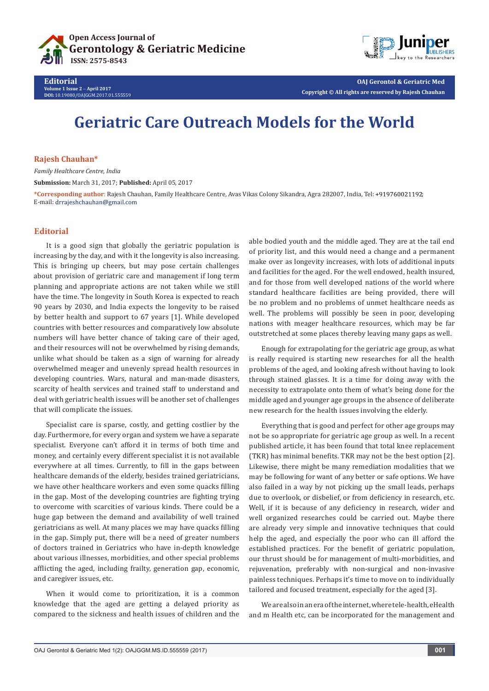



**OAJ Gerontol & Geriatric Med Copyright © All rights are reserved by Rajesh Chauhan**

# **Geriatric Care Outreach Models for the World**

## **Rajesh Chauhan\***

*Family Healthcare Centre, India* **Submission:** March 31, 2017; **Published:** April 05, 2017

**\*Corresponding author**: Rajesh Chauhan, Family Healthcare Centre, Avas Vikas Colony Sikandra, Agra 282007, India, Tel: ; E-mail: drrajeshchauhan@gmail.com

## **Editorial**

It is a good sign that globally the geriatric population is increasing by the day, and with it the longevity is also increasing. This is bringing up cheers, but may pose certain challenges about provision of geriatric care and management if long term planning and appropriate actions are not taken while we still have the time. The longevity in South Korea is expected to reach 90 years by 2030, and India expects the longevity to be raised by better health and support to 67 years [1]. While developed countries with better resources and comparatively low absolute numbers will have better chance of taking care of their aged, and their resources will not be overwhelmed by rising demands, unlike what should be taken as a sign of warning for already overwhelmed meager and unevenly spread health resources in developing countries. Wars, natural and man-made disasters, scarcity of health services and trained staff to understand and deal with geriatric health issues will be another set of challenges that will complicate the issues.

Specialist care is sparse, costly, and getting costlier by the day. Furthermore, for every organ and system we have a separate specialist. Everyone can't afford it in terms of both time and money, and certainly every different specialist it is not available everywhere at all times. Currently, to fill in the gaps between healthcare demands of the elderly, besides trained geriatricians, we have other healthcare workers and even some quacks filling in the gap. Most of the developing countries are fighting trying to overcome with scarcities of various kinds. There could be a huge gap between the demand and availability of well trained geriatricians as well. At many places we may have quacks filling in the gap. Simply put, there will be a need of greater numbers of doctors trained in Geriatrics who have in-depth knowledge about various illnesses, morbidities, and other special problems afflicting the aged, including frailty, generation gap, economic, and caregiver issues, etc.

When it would come to prioritization, it is a common knowledge that the aged are getting a delayed priority as compared to the sickness and health issues of children and the able bodied youth and the middle aged. They are at the tail end of priority list, and this would need a change and a permanent make over as longevity increases, with lots of additional inputs and facilities for the aged. For the well endowed, health insured, and for those from well developed nations of the world where standard healthcare facilities are being provided, there will be no problem and no problems of unmet healthcare needs as well. The problems will possibly be seen in poor, developing nations with meager healthcare resources, which may be far outstretched at some places thereby leaving many gaps as well.

Enough for extrapolating for the geriatric age group, as what is really required is starting new researches for all the health problems of the aged, and looking afresh without having to look through stained glasses. It is a time for doing away with the necessity to extrapolate onto them of what's being done for the middle aged and younger age groups in the absence of deliberate new research for the health issues involving the elderly.

Everything that is good and perfect for other age groups may not be so appropriate for geriatric age group as well. In a recent published article, it has been found that total knee replacement (TKR) has minimal benefits. TKR may not be the best option [2]. Likewise, there might be many remediation modalities that we may be following for want of any better or safe options. We have also failed in a way by not picking up the small leads, perhaps due to overlook, or disbelief, or from deficiency in research, etc. Well, if it is because of any deficiency in research, wider and well organized researches could be carried out. Maybe there are already very simple and innovative techniques that could help the aged, and especially the poor who can ill afford the established practices. For the benefit of geriatric population, our thrust should be for management of multi-morbidities, and rejuvenation, preferably with non-surgical and non-invasive painless techniques. Perhaps it's time to move on to individually tailored and focused treatment, especially for the aged [3].

We are also in an era of the internet, where tele-health, eHealth and m Health etc, can be incorporated for the management and